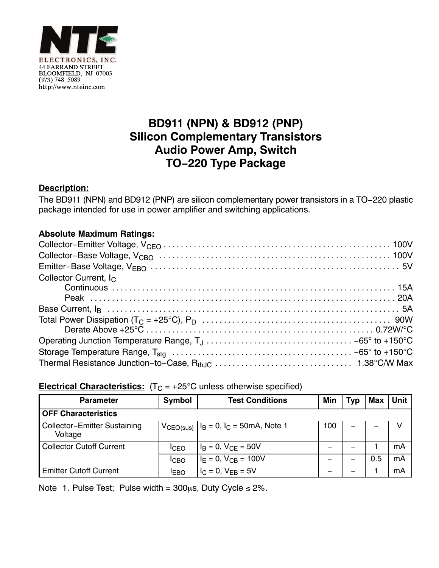

# **BD911 (NPN) & BD912 (PNP) Silicon Complementary Transistors Audio Power Amp, Switch TO−220 Type Package**

### **Description:**

The BD911 (NPN) and BD912 (PNP) are silicon complementary power transistors in a TO−220 plastic package intended for use in power amplifier and switching applications.

#### **Absolute Maximum Ratings:**

| Collector Current, $I_{\cap}$ |  |
|-------------------------------|--|
|                               |  |
|                               |  |
|                               |  |
|                               |  |
|                               |  |
|                               |  |
|                               |  |
|                               |  |

#### **Electrical Characteristics:**  $(T_C = +25^{\circ}C$  unless otherwise specified)

| <b>Parameter</b>                               | Symbol      | <b>Test Conditions</b>                             | Min | <b>Typ</b> | <b>Max</b> | <b>Unit</b> |  |  |
|------------------------------------------------|-------------|----------------------------------------------------|-----|------------|------------|-------------|--|--|
| <b>OFF Characteristics</b>                     |             |                                                    |     |            |            |             |  |  |
| <b>Collector-Emitter Sustaining</b><br>Voltage |             | $V_{CEO(sus)}$   $I_B = 0$ , $I_C = 50$ mA, Note 1 | 100 |            |            |             |  |  |
| <b>Collector Cutoff Current</b>                | <b>ICEO</b> | $I_B = 0$ , $V_{CF} = 50V$                         |     |            |            | mA          |  |  |
|                                                | <b>ICBO</b> | $I_F = 0$ , $V_{CB} = 100V$                        |     |            | 0.5        | mA          |  |  |
| <b>Emitter Cutoff Current</b>                  | <b>IEBO</b> | $I_C = 0$ , $V_{FR} = 5V$                          |     |            |            | mA          |  |  |

Note 1. Pulse Test; Pulse width =  $300\mu s$ , Duty Cycle  $\leq 2\%$ .